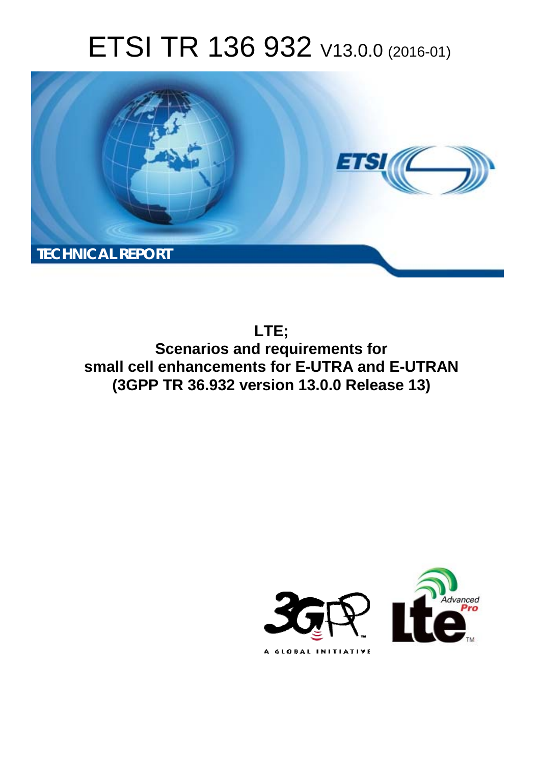# ETSI TR 136 932 V13.0.0 (2016-01)



**LTE; Scenarios and requirements for small cell enhancements for E-UTRA and E-UTRAN (3GPP TR 36.932 version 13.0.0 Release 13)** 

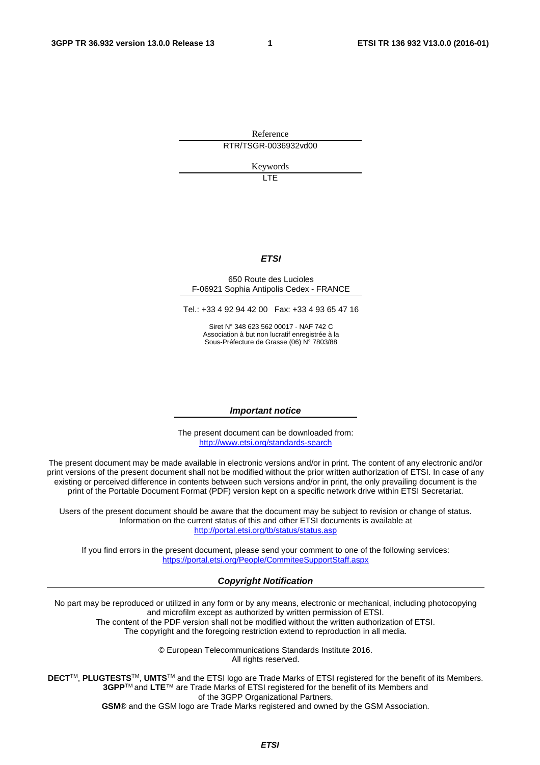Reference RTR/TSGR-0036932vd00

Keywords

 $\overline{1}$ 

#### *ETSI*

#### 650 Route des Lucioles F-06921 Sophia Antipolis Cedex - FRANCE

Tel.: +33 4 92 94 42 00 Fax: +33 4 93 65 47 16

Siret N° 348 623 562 00017 - NAF 742 C Association à but non lucratif enregistrée à la Sous-Préfecture de Grasse (06) N° 7803/88

#### *Important notice*

The present document can be downloaded from: <http://www.etsi.org/standards-search>

The present document may be made available in electronic versions and/or in print. The content of any electronic and/or print versions of the present document shall not be modified without the prior written authorization of ETSI. In case of any existing or perceived difference in contents between such versions and/or in print, the only prevailing document is the print of the Portable Document Format (PDF) version kept on a specific network drive within ETSI Secretariat.

Users of the present document should be aware that the document may be subject to revision or change of status. Information on the current status of this and other ETSI documents is available at <http://portal.etsi.org/tb/status/status.asp>

If you find errors in the present document, please send your comment to one of the following services: <https://portal.etsi.org/People/CommiteeSupportStaff.aspx>

#### *Copyright Notification*

No part may be reproduced or utilized in any form or by any means, electronic or mechanical, including photocopying and microfilm except as authorized by written permission of ETSI.

The content of the PDF version shall not be modified without the written authorization of ETSI. The copyright and the foregoing restriction extend to reproduction in all media.

> © European Telecommunications Standards Institute 2016. All rights reserved.

**DECT**TM, **PLUGTESTS**TM, **UMTS**TM and the ETSI logo are Trade Marks of ETSI registered for the benefit of its Members. **3GPP**TM and **LTE**™ are Trade Marks of ETSI registered for the benefit of its Members and of the 3GPP Organizational Partners.

**GSM**® and the GSM logo are Trade Marks registered and owned by the GSM Association.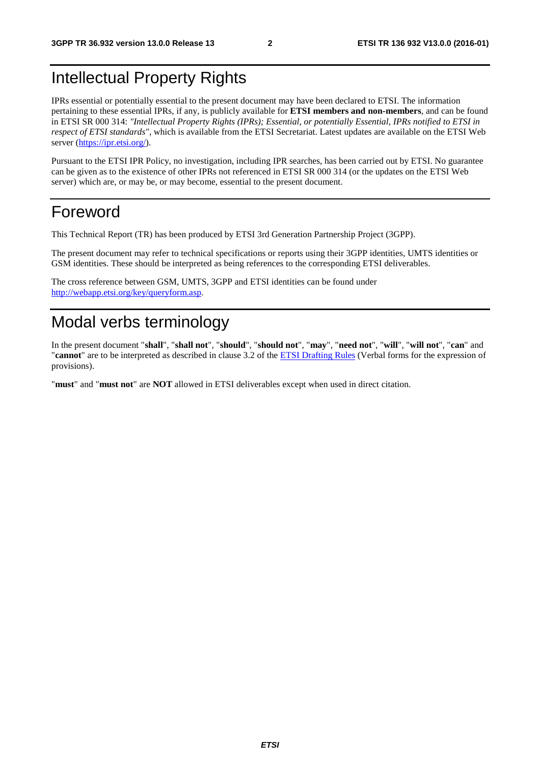## Intellectual Property Rights

IPRs essential or potentially essential to the present document may have been declared to ETSI. The information pertaining to these essential IPRs, if any, is publicly available for **ETSI members and non-members**, and can be found in ETSI SR 000 314: *"Intellectual Property Rights (IPRs); Essential, or potentially Essential, IPRs notified to ETSI in respect of ETSI standards"*, which is available from the ETSI Secretariat. Latest updates are available on the ETSI Web server ([https://ipr.etsi.org/\)](https://ipr.etsi.org/).

Pursuant to the ETSI IPR Policy, no investigation, including IPR searches, has been carried out by ETSI. No guarantee can be given as to the existence of other IPRs not referenced in ETSI SR 000 314 (or the updates on the ETSI Web server) which are, or may be, or may become, essential to the present document.

### Foreword

This Technical Report (TR) has been produced by ETSI 3rd Generation Partnership Project (3GPP).

The present document may refer to technical specifications or reports using their 3GPP identities, UMTS identities or GSM identities. These should be interpreted as being references to the corresponding ETSI deliverables.

The cross reference between GSM, UMTS, 3GPP and ETSI identities can be found under [http://webapp.etsi.org/key/queryform.asp.](http://webapp.etsi.org/key/queryform.asp)

## Modal verbs terminology

In the present document "**shall**", "**shall not**", "**should**", "**should not**", "**may**", "**need not**", "**will**", "**will not**", "**can**" and "**cannot**" are to be interpreted as described in clause 3.2 of the [ETSI Drafting Rules](http://portal.etsi.org/Help/editHelp!/Howtostart/ETSIDraftingRules.aspx) (Verbal forms for the expression of provisions).

"**must**" and "**must not**" are **NOT** allowed in ETSI deliverables except when used in direct citation.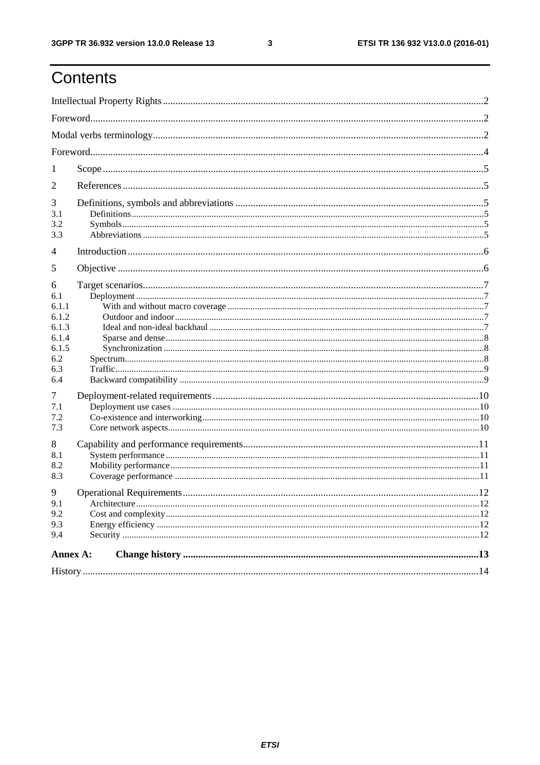ETSI TR 136 932 V13.0.0 (2016-01)

## Contents

| 1                                                                                                    |  |    |  |  |  |  |
|------------------------------------------------------------------------------------------------------|--|----|--|--|--|--|
| 2                                                                                                    |  |    |  |  |  |  |
| 3<br>3.1<br>3.2<br>3.3                                                                               |  |    |  |  |  |  |
| $\overline{4}$                                                                                       |  |    |  |  |  |  |
| 5                                                                                                    |  |    |  |  |  |  |
| 6<br>6.1<br>6.1.1<br>6.1.2<br>6.1.3<br>6.1.4<br>6.1.5<br>6.2<br>6.3<br>6.4<br>7<br>7.1<br>7.2<br>7.3 |  |    |  |  |  |  |
| 8<br>8.1<br>8.2<br>8.3                                                                               |  |    |  |  |  |  |
| 9<br>9.1<br>9.2<br>9.3<br>9.4                                                                        |  | 12 |  |  |  |  |
| Annex A:                                                                                             |  |    |  |  |  |  |
|                                                                                                      |  |    |  |  |  |  |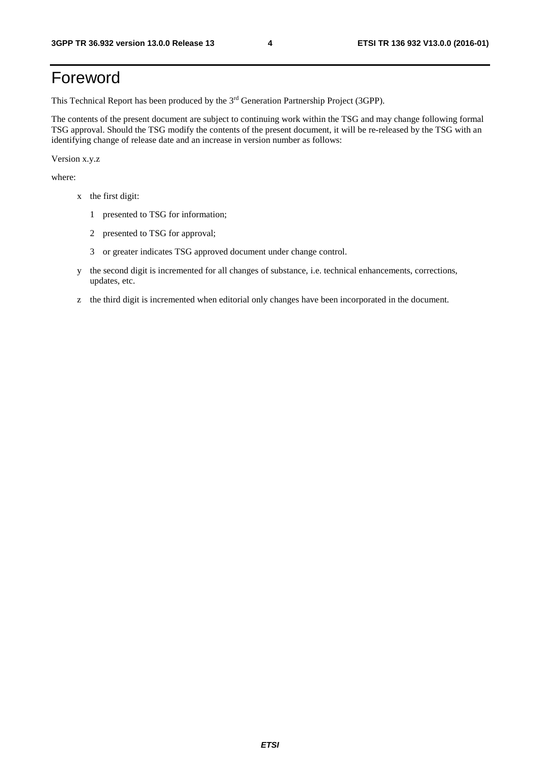## Foreword

This Technical Report has been produced by the 3rd Generation Partnership Project (3GPP).

The contents of the present document are subject to continuing work within the TSG and may change following formal TSG approval. Should the TSG modify the contents of the present document, it will be re-released by the TSG with an identifying change of release date and an increase in version number as follows:

Version x.y.z

where:

- x the first digit:
	- 1 presented to TSG for information;
	- 2 presented to TSG for approval;
	- 3 or greater indicates TSG approved document under change control.
- y the second digit is incremented for all changes of substance, i.e. technical enhancements, corrections, updates, etc.
- z the third digit is incremented when editorial only changes have been incorporated in the document.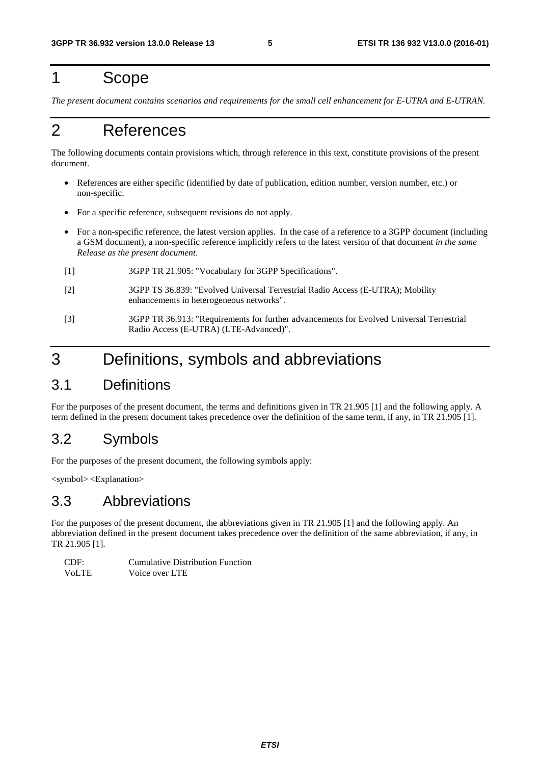## 1 Scope

*The present document contains scenarios and requirements for the small cell enhancement for E-UTRA and E-UTRAN.* 

## 2 References

The following documents contain provisions which, through reference in this text, constitute provisions of the present document.

- References are either specific (identified by date of publication, edition number, version number, etc.) or non-specific.
- For a specific reference, subsequent revisions do not apply.
- For a non-specific reference, the latest version applies. In the case of a reference to a 3GPP document (including a GSM document), a non-specific reference implicitly refers to the latest version of that document *in the same Release as the present document*.
- [1] 3GPP TR 21.905: "Vocabulary for 3GPP Specifications".
- [2] 3GPP TS 36.839: "Evolved Universal Terrestrial Radio Access (E-UTRA); Mobility enhancements in heterogeneous networks".
- [3] 3GPP TR 36.913: "Requirements for further advancements for Evolved Universal Terrestrial Radio Access (E-UTRA) (LTE-Advanced)".

## 3 Definitions, symbols and abbreviations

### 3.1 Definitions

For the purposes of the present document, the terms and definitions given in TR 21.905 [1] and the following apply. A term defined in the present document takes precedence over the definition of the same term, if any, in TR 21.905 [1].

### 3.2 Symbols

For the purposes of the present document, the following symbols apply:

<symbol> <Explanation>

### 3.3 Abbreviations

For the purposes of the present document, the abbreviations given in TR 21.905 [1] and the following apply. An abbreviation defined in the present document takes precedence over the definition of the same abbreviation, if any, in TR 21.905 [1].

| CDF:         | <b>Cumulative Distribution Function</b> |
|--------------|-----------------------------------------|
| <b>VoLTE</b> | Voice over LTE                          |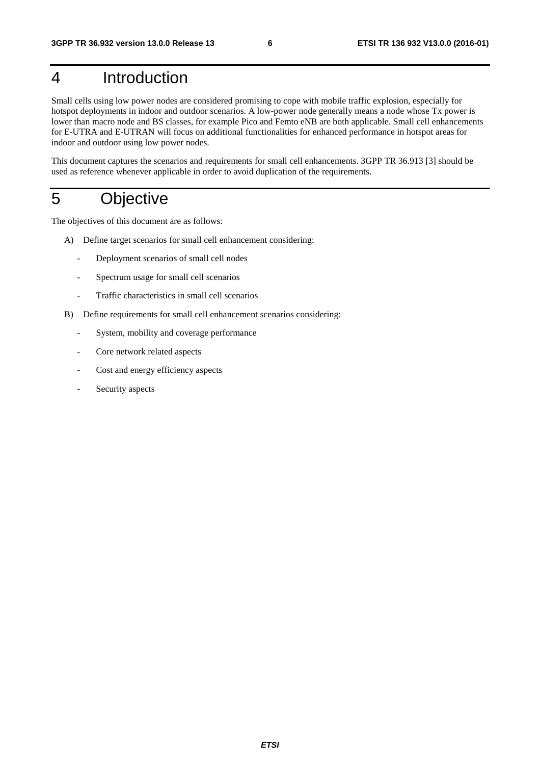## 4 Introduction

Small cells using low power nodes are considered promising to cope with mobile traffic explosion, especially for hotspot deployments in indoor and outdoor scenarios. A low-power node generally means a node whose Tx power is lower than macro node and BS classes, for example Pico and Femto eNB are both applicable. Small cell enhancements for E-UTRA and E-UTRAN will focus on additional functionalities for enhanced performance in hotspot areas for indoor and outdoor using low power nodes.

This document captures the scenarios and requirements for small cell enhancements. 3GPP TR 36.913 [3] should be used as reference whenever applicable in order to avoid duplication of the requirements.

## 5 Objective

The objectives of this document are as follows:

- A) Define target scenarios for small cell enhancement considering:
	- Deployment scenarios of small cell nodes
	- Spectrum usage for small cell scenarios
	- Traffic characteristics in small cell scenarios
- B) Define requirements for small cell enhancement scenarios considering:
	- System, mobility and coverage performance
	- Core network related aspects
	- Cost and energy efficiency aspects
	- Security aspects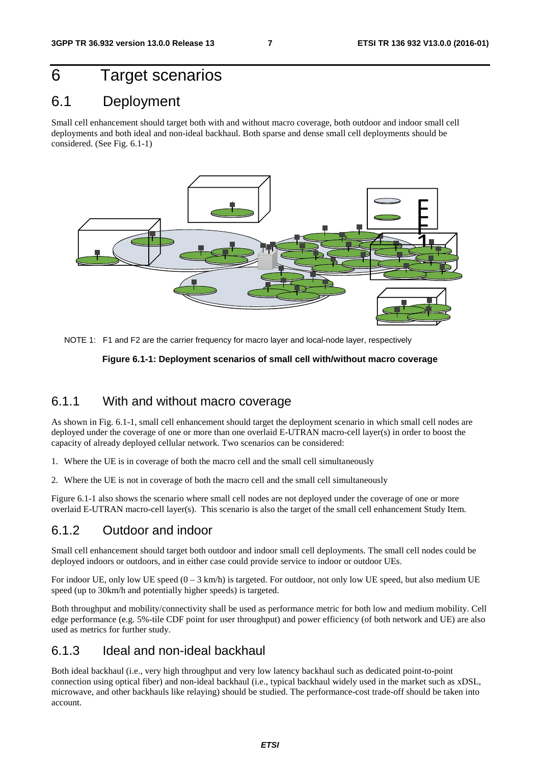## 6 Target scenarios

### 6.1 Deployment

Small cell enhancement should target both with and without macro coverage, both outdoor and indoor small cell deployments and both ideal and non-ideal backhaul. Both sparse and dense small cell deployments should be considered. (See Fig. 6.1-1)



NOTE 1: F1 and F2 are the carrier frequency for macro layer and local-node layer, respectively

#### **Figure 6.1-1: Deployment scenarios of small cell with/without macro coverage**

#### 6.1.1 With and without macro coverage

As shown in Fig. 6.1-1, small cell enhancement should target the deployment scenario in which small cell nodes are deployed under the coverage of one or more than one overlaid E-UTRAN macro-cell layer(s) in order to boost the capacity of already deployed cellular network. Two scenarios can be considered:

- 1. Where the UE is in coverage of both the macro cell and the small cell simultaneously
- 2. Where the UE is not in coverage of both the macro cell and the small cell simultaneously

Figure 6.1-1 also shows the scenario where small cell nodes are not deployed under the coverage of one or more overlaid E-UTRAN macro-cell layer(s). This scenario is also the target of the small cell enhancement Study Item.

#### 6.1.2 Outdoor and indoor

Small cell enhancement should target both outdoor and indoor small cell deployments. The small cell nodes could be deployed indoors or outdoors, and in either case could provide service to indoor or outdoor UEs.

For indoor UE, only low UE speed  $(0 - 3 \text{ km/h})$  is targeted. For outdoor, not only low UE speed, but also medium UE speed (up to 30km/h and potentially higher speeds) is targeted.

Both throughput and mobility/connectivity shall be used as performance metric for both low and medium mobility. Cell edge performance (e.g. 5%-tile CDF point for user throughput) and power efficiency (of both network and UE) are also used as metrics for further study.

#### 6.1.3 Ideal and non-ideal backhaul

Both ideal backhaul (i.e., very high throughput and very low latency backhaul such as dedicated point-to-point connection using optical fiber) and non-ideal backhaul (i.e., typical backhaul widely used in the market such as xDSL, microwave, and other backhauls like relaying) should be studied. The performance-cost trade-off should be taken into account.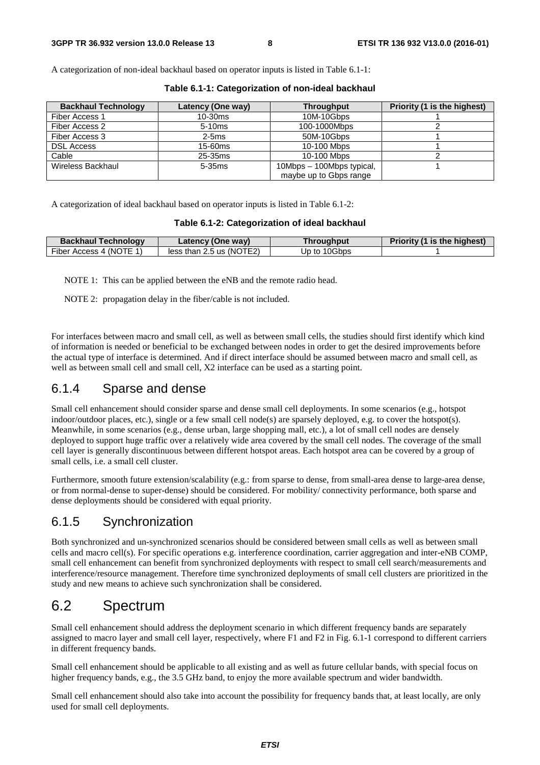A categorization of non-ideal backhaul based on operator inputs is listed in Table 6.1-1:

| <b>Backhaul Technology</b> | Latency (One way) | <b>Throughput</b>         | Priority (1 is the highest) |
|----------------------------|-------------------|---------------------------|-----------------------------|
| Fiber Access 1             | $10-30ms$         | 10M-10Gbps                |                             |
| Fiber Access 2             | 5-10ms            | 100-1000Mbps              |                             |
| Fiber Access 3             | $2-5ms$           | 50M-10Gbps                |                             |
| <b>DSL Access</b>          | 15-60ms           | 10-100 Mbps               |                             |
| Cable                      | 25-35ms           | 10-100 Mbps               |                             |
| Wireless Backhaul          | $5-35ms$          | 10Mbps - 100Mbps typical, |                             |
|                            |                   | maybe up to Gbps range    |                             |

**Table 6.1-1: Categorization of non-ideal backhaul** 

A categorization of ideal backhaul based on operator inputs is listed in Table 6.1-2:

#### **Table 6.1-2: Categorization of ideal backhaul**

| <b>Backhaul Technology</b> | Latency (One way)        | Throughput   | Priority (1 is the highest) |
|----------------------------|--------------------------|--------------|-----------------------------|
| Fiber Access 4 (NOTE 1)    | less than 2.5 us (NOTE2) | Up to 10Gbps |                             |

NOTE 1: This can be applied between the eNB and the remote radio head.

NOTE 2: propagation delay in the fiber/cable is not included.

For interfaces between macro and small cell, as well as between small cells, the studies should first identify which kind of information is needed or beneficial to be exchanged between nodes in order to get the desired improvements before the actual type of interface is determined. And if direct interface should be assumed between macro and small cell, as well as between small cell and small cell, X2 interface can be used as a starting point.

#### 6.1.4 Sparse and dense

Small cell enhancement should consider sparse and dense small cell deployments. In some scenarios (e.g., hotspot indoor/outdoor places, etc.), single or a few small cell node(s) are sparsely deployed, e.g. to cover the hotspot(s). Meanwhile, in some scenarios (e.g., dense urban, large shopping mall, etc.), a lot of small cell nodes are densely deployed to support huge traffic over a relatively wide area covered by the small cell nodes. The coverage of the small cell layer is generally discontinuous between different hotspot areas. Each hotspot area can be covered by a group of small cells, i.e. a small cell cluster.

Furthermore, smooth future extension/scalability (e.g.: from sparse to dense, from small-area dense to large-area dense, or from normal-dense to super-dense) should be considered. For mobility/ connectivity performance, both sparse and dense deployments should be considered with equal priority.

### 6.1.5 Synchronization

Both synchronized and un-synchronized scenarios should be considered between small cells as well as between small cells and macro cell(s). For specific operations e.g. interference coordination, carrier aggregation and inter-eNB COMP, small cell enhancement can benefit from synchronized deployments with respect to small cell search/measurements and interference/resource management. Therefore time synchronized deployments of small cell clusters are prioritized in the study and new means to achieve such synchronization shall be considered.

## 6.2 Spectrum

Small cell enhancement should address the deployment scenario in which different frequency bands are separately assigned to macro layer and small cell layer, respectively, where F1 and F2 in Fig. 6.1-1 correspond to different carriers in different frequency bands.

Small cell enhancement should be applicable to all existing and as well as future cellular bands, with special focus on higher frequency bands, e.g., the 3.5 GHz band, to enjoy the more available spectrum and wider bandwidth.

Small cell enhancement should also take into account the possibility for frequency bands that, at least locally, are only used for small cell deployments.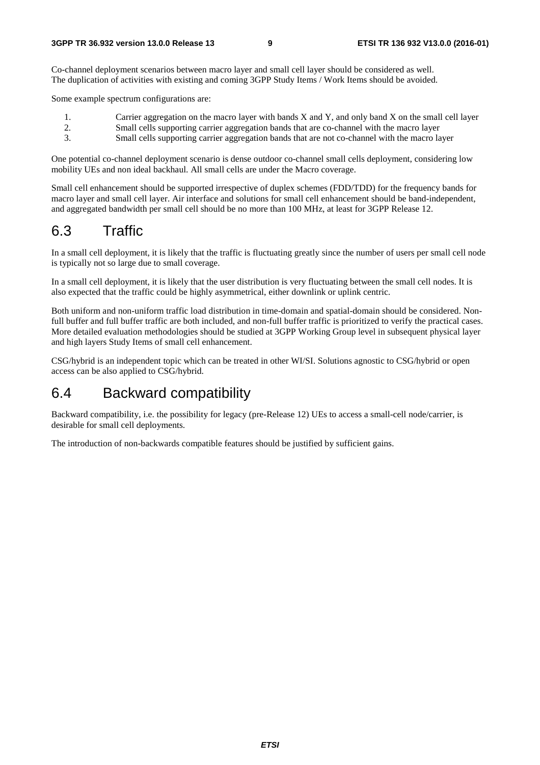Co-channel deployment scenarios between macro layer and small cell layer should be considered as well. The duplication of activities with existing and coming 3GPP Study Items / Work Items should be avoided.

Some example spectrum configurations are:

- 1. Carrier aggregation on the macro layer with bands X and Y, and only band X on the small cell layer
- 2. Small cells supporting carrier aggregation bands that are co-channel with the macro layer<br>3 Small cells supporting carrier aggregation bands that are not co-channel with the macro la
- 3. Small cells supporting carrier aggregation bands that are not co-channel with the macro layer

One potential co-channel deployment scenario is dense outdoor co-channel small cells deployment, considering low mobility UEs and non ideal backhaul. All small cells are under the Macro coverage.

Small cell enhancement should be supported irrespective of duplex schemes (FDD/TDD) for the frequency bands for macro layer and small cell layer. Air interface and solutions for small cell enhancement should be band-independent, and aggregated bandwidth per small cell should be no more than 100 MHz, at least for 3GPP Release 12.

## 6.3 Traffic

In a small cell deployment, it is likely that the traffic is fluctuating greatly since the number of users per small cell node is typically not so large due to small coverage.

In a small cell deployment, it is likely that the user distribution is very fluctuating between the small cell nodes. It is also expected that the traffic could be highly asymmetrical, either downlink or uplink centric.

Both uniform and non-uniform traffic load distribution in time-domain and spatial-domain should be considered. Nonfull buffer and full buffer traffic are both included, and non-full buffer traffic is prioritized to verify the practical cases. More detailed evaluation methodologies should be studied at 3GPP Working Group level in subsequent physical layer and high layers Study Items of small cell enhancement.

CSG/hybrid is an independent topic which can be treated in other WI/SI. Solutions agnostic to CSG/hybrid or open access can be also applied to CSG/hybrid.

### 6.4 Backward compatibility

Backward compatibility, i.e. the possibility for legacy (pre-Release 12) UEs to access a small-cell node/carrier, is desirable for small cell deployments.

The introduction of non-backwards compatible features should be justified by sufficient gains.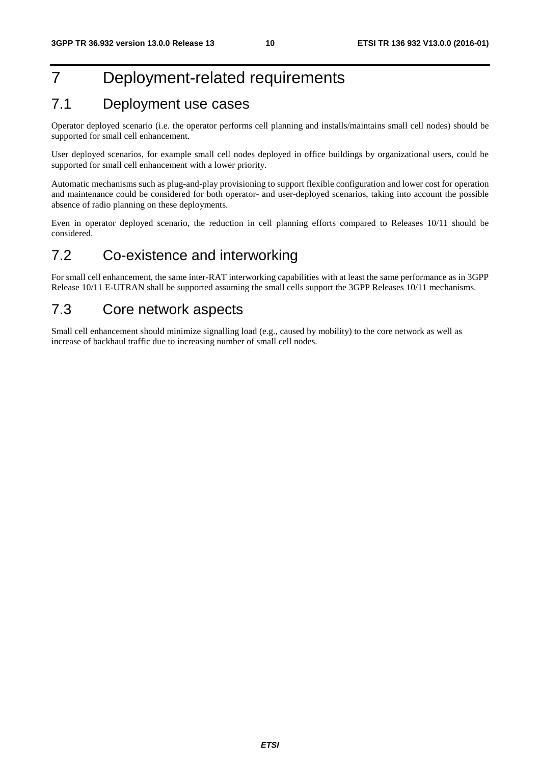## 7 Deployment-related requirements

### 7.1 Deployment use cases

Operator deployed scenario (i.e. the operator performs cell planning and installs/maintains small cell nodes) should be supported for small cell enhancement.

User deployed scenarios, for example small cell nodes deployed in office buildings by organizational users, could be supported for small cell enhancement with a lower priority.

Automatic mechanisms such as plug-and-play provisioning to support flexible configuration and lower cost for operation and maintenance could be considered for both operator- and user-deployed scenarios, taking into account the possible absence of radio planning on these deployments.

Even in operator deployed scenario, the reduction in cell planning efforts compared to Releases 10/11 should be considered.

## 7.2 Co-existence and interworking

For small cell enhancement, the same inter-RAT interworking capabilities with at least the same performance as in 3GPP Release 10/11 E-UTRAN shall be supported assuming the small cells support the 3GPP Releases 10/11 mechanisms.

## 7.3 Core network aspects

Small cell enhancement should minimize signalling load (e.g., caused by mobility) to the core network as well as increase of backhaul traffic due to increasing number of small cell nodes.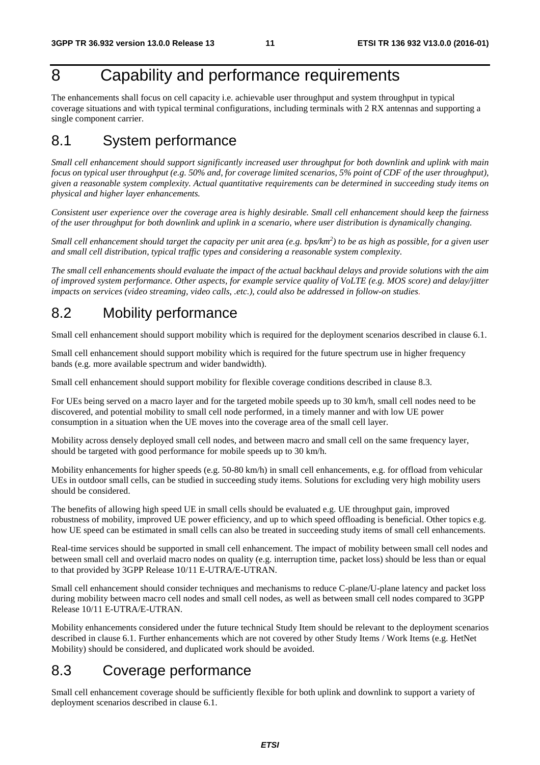## 8 Capability and performance requirements

The enhancements shall focus on cell capacity i.e. achievable user throughput and system throughput in typical coverage situations and with typical terminal configurations, including terminals with 2 RX antennas and supporting a single component carrier.

## 8.1 System performance

*Small cell enhancement should support significantly increased user throughput for both downlink and uplink with main focus on typical user throughput (e.g. 50% and, for coverage limited scenarios, 5% point of CDF of the user throughput), given a reasonable system complexity. Actual quantitative requirements can be determined in succeeding study items on physical and higher layer enhancements.* 

*Consistent user experience over the coverage area is highly desirable. Small cell enhancement should keep the fairness of the user throughput for both downlink and uplink in a scenario, where user distribution is dynamically changing.* 

*Small cell enhancement should target the capacity per unit area (e.g. bps/km<sup>2</sup>) to be as high as possible, for a given user and small cell distribution, typical traffic types and considering a reasonable system complexity.* 

*The small cell enhancements should evaluate the impact of the actual backhaul delays and provide solutions with the aim of improved system performance. Other aspects, for example service quality of VoLTE (e.g. MOS score) and delay/jitter impacts on services (video streaming, video calls, .etc.), could also be addressed in follow-on studies.*

## 8.2 Mobility performance

Small cell enhancement should support mobility which is required for the deployment scenarios described in clause 6.1.

Small cell enhancement should support mobility which is required for the future spectrum use in higher frequency bands (e.g. more available spectrum and wider bandwidth).

Small cell enhancement should support mobility for flexible coverage conditions described in clause 8.3.

For UEs being served on a macro layer and for the targeted mobile speeds up to 30 km/h, small cell nodes need to be discovered, and potential mobility to small cell node performed, in a timely manner and with low UE power consumption in a situation when the UE moves into the coverage area of the small cell layer.

Mobility across densely deployed small cell nodes, and between macro and small cell on the same frequency layer, should be targeted with good performance for mobile speeds up to 30 km/h.

Mobility enhancements for higher speeds (e.g. 50-80 km/h) in small cell enhancements, e.g. for offload from vehicular UEs in outdoor small cells, can be studied in succeeding study items. Solutions for excluding very high mobility users should be considered.

The benefits of allowing high speed UE in small cells should be evaluated e.g. UE throughput gain, improved robustness of mobility, improved UE power efficiency, and up to which speed offloading is beneficial. Other topics e.g. how UE speed can be estimated in small cells can also be treated in succeeding study items of small cell enhancements.

Real-time services should be supported in small cell enhancement. The impact of mobility between small cell nodes and between small cell and overlaid macro nodes on quality (e.g. interruption time, packet loss) should be less than or equal to that provided by 3GPP Release 10/11 E-UTRA/E-UTRAN.

Small cell enhancement should consider techniques and mechanisms to reduce C-plane/U-plane latency and packet loss during mobility between macro cell nodes and small cell nodes, as well as between small cell nodes compared to 3GPP Release 10/11 E-UTRA/E-UTRAN.

Mobility enhancements considered under the future technical Study Item should be relevant to the deployment scenarios described in clause 6.1. Further enhancements which are not covered by other Study Items / Work Items (e.g. HetNet Mobility) should be considered, and duplicated work should be avoided.

### 8.3 Coverage performance

Small cell enhancement coverage should be sufficiently flexible for both uplink and downlink to support a variety of deployment scenarios described in clause 6.1.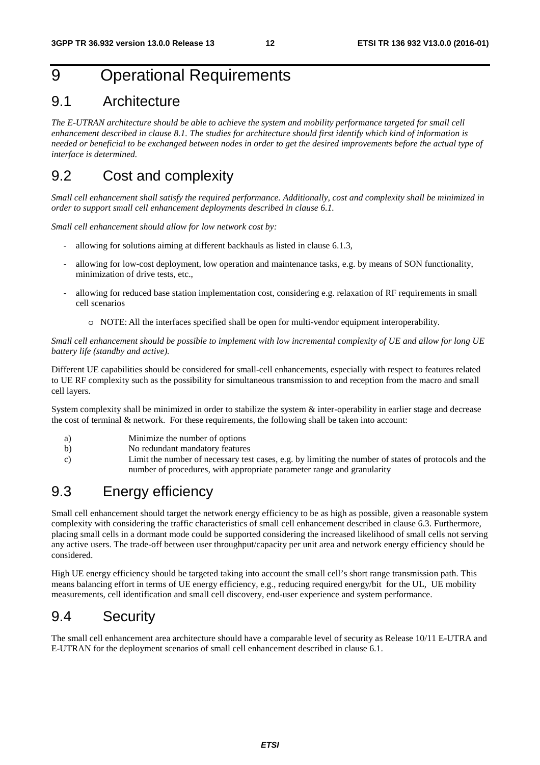## 9 Operational Requirements

### 9.1 Architecture

*The E-UTRAN architecture should be able to achieve the system and mobility performance targeted for small cell enhancement described in clause 8.1. The studies for architecture should first identify which kind of information is needed or beneficial to be exchanged between nodes in order to get the desired improvements before the actual type of interface is determined.* 

## 9.2 Cost and complexity

*Small cell enhancement shall satisfy the required performance. Additionally, cost and complexity shall be minimized in order to support small cell enhancement deployments described in clause 6.1.* 

*Small cell enhancement should allow for low network cost by:* 

- allowing for solutions aiming at different backhauls as listed in clause 6.1.3,
- allowing for low-cost deployment, low operation and maintenance tasks, e.g. by means of SON functionality, minimization of drive tests, etc.,
- allowing for reduced base station implementation cost, considering e.g. relaxation of RF requirements in small cell scenarios
	- o NOTE: All the interfaces specified shall be open for multi-vendor equipment interoperability.

#### *Small cell enhancement should be possible to implement with low incremental complexity of UE and allow for long UE battery life (standby and active).*

Different UE capabilities should be considered for small-cell enhancements, especially with respect to features related to UE RF complexity such as the possibility for simultaneous transmission to and reception from the macro and small cell layers.

System complexity shall be minimized in order to stabilize the system  $\&$  inter-operability in earlier stage and decrease the cost of terminal & network. For these requirements, the following shall be taken into account:

- a) Minimize the number of options
- b) No redundant mandatory features
- c) Limit the number of necessary test cases, e.g. by limiting the number of states of protocols and the number of procedures, with appropriate parameter range and granularity

### 9.3 Energy efficiency

Small cell enhancement should target the network energy efficiency to be as high as possible, given a reasonable system complexity with considering the traffic characteristics of small cell enhancement described in clause 6.3. Furthermore, placing small cells in a dormant mode could be supported considering the increased likelihood of small cells not serving any active users. The trade-off between user throughput/capacity per unit area and network energy efficiency should be considered.

High UE energy efficiency should be targeted taking into account the small cell's short range transmission path. This means balancing effort in terms of UE energy efficiency, e.g., reducing required energy/bit for the UL, UE mobility measurements, cell identification and small cell discovery, end-user experience and system performance.

### 9.4 Security

The small cell enhancement area architecture should have a comparable level of security as Release 10/11 E-UTRA and E-UTRAN for the deployment scenarios of small cell enhancement described in clause 6.1.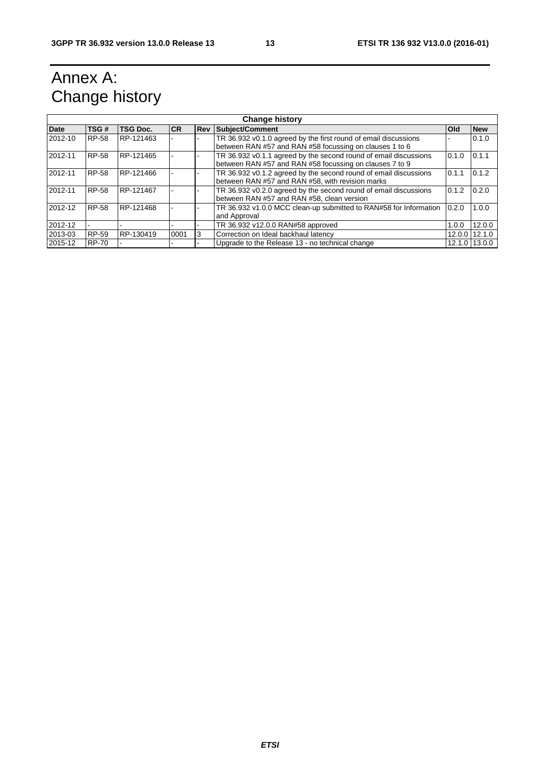## Annex A: Change history

| <b>Change history</b> |              |                 |      |            |                                                                   |            |               |
|-----------------------|--------------|-----------------|------|------------|-------------------------------------------------------------------|------------|---------------|
| <b>Date</b>           | TSG#         | <b>TSG Doc.</b> | ICR. | <b>Rev</b> | Subject/Comment                                                   | <b>Old</b> | <b>New</b>    |
| 2012-10               | <b>RP-58</b> | RP-121463       |      |            | TR 36.932 v0.1.0 agreed by the first round of email discussions   |            | 0.1.0         |
|                       |              |                 |      |            | between RAN #57 and RAN #58 focussing on clauses 1 to 6           |            |               |
| 2012-11               | <b>RP-58</b> | RP-121465       |      |            | TR 36.932 v0.1.1 agreed by the second round of email discussions  | 0.1.0      | 0.1.1         |
|                       |              |                 |      |            | between RAN #57 and RAN #58 focussing on clauses 7 to 9           |            |               |
| 2012-11               | <b>RP-58</b> | RP-121466       |      |            | TR 36.932 v0.1.2 agreed by the second round of email discussions  | 0.1.1      | 0.1.2         |
|                       |              |                 |      |            | between RAN #57 and RAN #58, with revision marks                  |            |               |
| 2012-11               | RP-58        | RP-121467       |      |            | TR 36.932 v0.2.0 agreed by the second round of email discussions  | 0.1.2      | 0.2.0         |
|                       |              |                 |      |            | between RAN #57 and RAN #58, clean version                        |            |               |
| 2012-12               | <b>RP-58</b> | RP-121468       |      |            | TR 36.932 v1.0.0 MCC clean-up submitted to RAN#58 for Information | 0.2.0      | 1.0.0         |
|                       |              |                 |      |            | and Approval                                                      |            |               |
| 2012-12               |              |                 |      |            | TR 36.932 v12.0.0 RAN#58 approved                                 | 1.0.0      | 12.0.0        |
| 2013-03               | RP-59        | RP-130419       | 0001 | 3          | Correction on Ideal backhaul latency                              | 12.0.0     | 12.1.0        |
| 2015-12               | <b>RP-70</b> |                 |      |            | Upgrade to the Release 13 - no technical change                   |            | 12.1.0 13.0.0 |